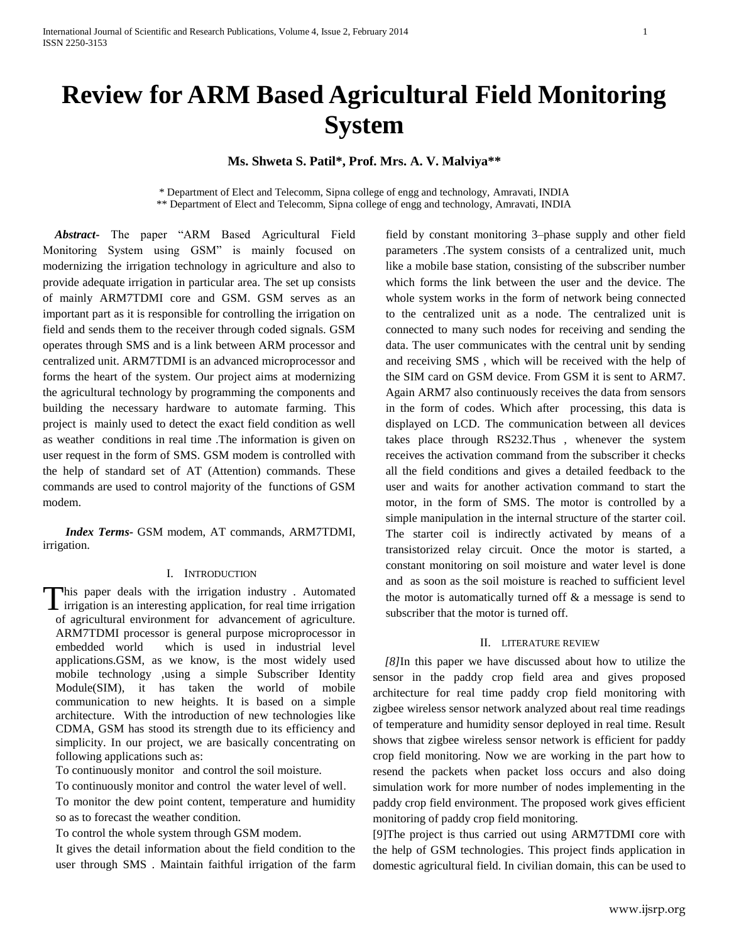# **Review for ARM Based Agricultural Field Monitoring System**

# **Ms. Shweta S. Patil\*, Prof. Mrs. A. V. Malviya\*\***

\* Department of Elect and Telecomm, Sipna college of engg and technology, Amravati, INDIA \*\* Department of Elect and Telecomm, Sipna college of engg and technology, Amravati, INDIA

 *Abstract***-** The paper "ARM Based Agricultural Field Monitoring System using GSM" is mainly focused on modernizing the irrigation technology in agriculture and also to provide adequate irrigation in particular area. The set up consists of mainly ARM7TDMI core and GSM. GSM serves as an important part as it is responsible for controlling the irrigation on field and sends them to the receiver through coded signals. GSM operates through SMS and is a link between ARM processor and centralized unit. ARM7TDMI is an advanced microprocessor and forms the heart of the system. Our project aims at modernizing the agricultural technology by programming the components and building the necessary hardware to automate farming. This project is mainly used to detect the exact field condition as well as weather conditions in real time .The information is given on user request in the form of SMS. GSM modem is controlled with the help of standard set of AT (Attention) commands. These commands are used to control majority of the functions of GSM modem.

 *Index Terms***-** GSM modem, AT commands, ARM7TDMI, irrigation.

## I. INTRODUCTION

his paper deals with the irrigation industry . Automated This paper deals with the irrigation industry. Automated irrigation is an interesting application, for real time irrigation of agricultural environment for advancement of agriculture. ARM7TDMI processor is general purpose microprocessor in embedded world which is used in industrial level applications.GSM, as we know, is the most widely used mobile technology ,using a simple Subscriber Identity Module(SIM), it has taken the world of mobile communication to new heights. It is based on a simple architecture. With the introduction of new technologies like CDMA, GSM has stood its strength due to its efficiency and simplicity. In our project, we are basically concentrating on following applications such as:

To continuously monitor and control the soil moisture.

To continuously monitor and control the water level of well.

To monitor the dew point content, temperature and humidity so as to forecast the weather condition.

To control the whole system through GSM modem.

It gives the detail information about the field condition to the user through SMS . Maintain faithful irrigation of the farm field by constant monitoring 3–phase supply and other field parameters .The system consists of a centralized unit, much like a mobile base station, consisting of the subscriber number which forms the link between the user and the device. The whole system works in the form of network being connected to the centralized unit as a node. The centralized unit is connected to many such nodes for receiving and sending the data. The user communicates with the central unit by sending and receiving SMS , which will be received with the help of the SIM card on GSM device. From GSM it is sent to ARM7. Again ARM7 also continuously receives the data from sensors in the form of codes. Which after processing, this data is displayed on LCD. The communication between all devices takes place through RS232.Thus , whenever the system receives the activation command from the subscriber it checks all the field conditions and gives a detailed feedback to the user and waits for another activation command to start the motor, in the form of SMS. The motor is controlled by a simple manipulation in the internal structure of the starter coil. The starter coil is indirectly activated by means of a transistorized relay circuit. Once the motor is started, a constant monitoring on soil moisture and water level is done and as soon as the soil moisture is reached to sufficient level the motor is automatically turned off  $\&$  a message is send to subscriber that the motor is turned off.

## II. LITERATURE REVIEW

 *[8]*In this paper we have discussed about how to utilize the sensor in the paddy crop field area and gives proposed architecture for real time paddy crop field monitoring with zigbee wireless sensor network analyzed about real time readings of temperature and humidity sensor deployed in real time. Result shows that zigbee wireless sensor network is efficient for paddy crop field monitoring. Now we are working in the part how to resend the packets when packet loss occurs and also doing simulation work for more number of nodes implementing in the paddy crop field environment. The proposed work gives efficient monitoring of paddy crop field monitoring.

[9]The project is thus carried out using ARM7TDMI core with the help of GSM technologies. This project finds application in domestic agricultural field. In civilian domain, this can be used to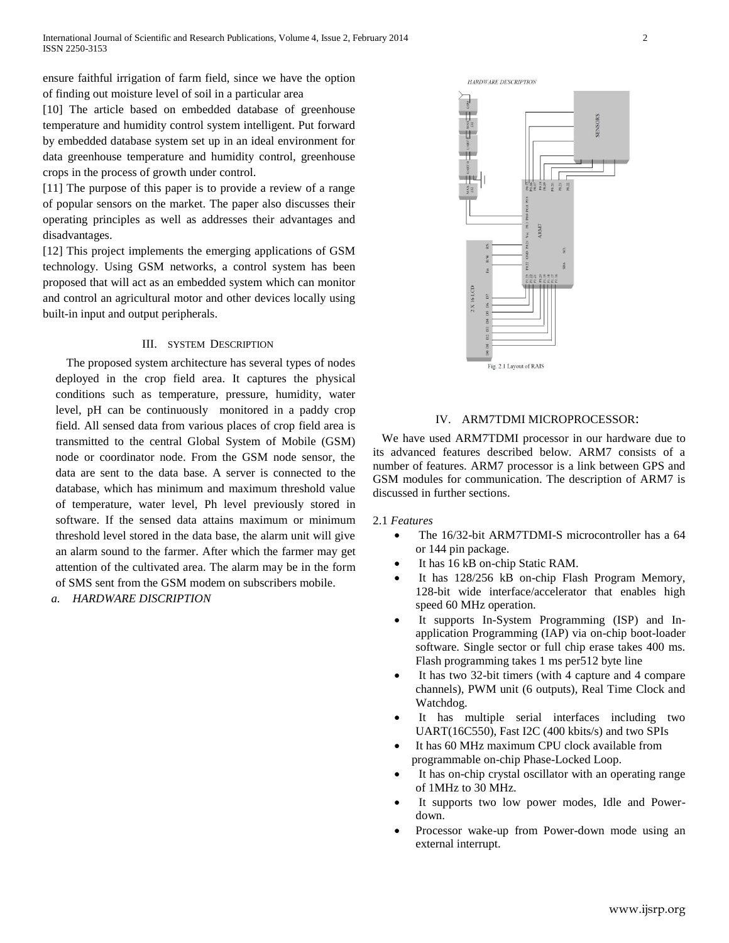ensure faithful irrigation of farm field, since we have the option of finding out moisture level of soil in a particular area

[10] The article based on embedded database of greenhouse temperature and humidity control system intelligent. Put forward by embedded database system set up in an ideal environment for data greenhouse temperature and humidity control, greenhouse crops in the process of growth under control.

[11] The purpose of this paper is to provide a review of a range of popular sensors on the market. The paper also discusses their operating principles as well as addresses their advantages and disadvantages.

[12] This project implements the emerging applications of GSM technology. Using GSM networks, a control system has been proposed that will act as an embedded system which can monitor and control an agricultural motor and other devices locally using built-in input and output peripherals.

## III. SYSTEM DESCRIPTION

 The proposed system architecture has several types of nodes deployed in the crop field area. It captures the physical conditions such as temperature, pressure, humidity, water level, pH can be continuously monitored in a paddy crop field. All sensed data from various places of crop field area is transmitted to the central Global System of Mobile (GSM) node or coordinator node. From the GSM node sensor, the data are sent to the data base. A server is connected to the database, which has minimum and maximum threshold value of temperature, water level, Ph level previously stored in software. If the sensed data attains maximum or minimum threshold level stored in the data base, the alarm unit will give an alarm sound to the farmer. After which the farmer may get attention of the cultivated area. The alarm may be in the form of SMS sent from the GSM modem on subscribers mobile.

*a. HARDWARE DISCRIPTION*



# IV. ARM7TDMI MICROPROCESSOR:

 We have used ARM7TDMI processor in our hardware due to its advanced features described below. ARM7 consists of a number of features. ARM7 processor is a link between GPS and GSM modules for communication. The description of ARM7 is discussed in further sections.

2.1 *Features*

- The 16/32-bit ARM7TDMI-S microcontroller has a 64 or 144 pin package.
- It has 16 kB on-chip Static RAM.
- It has 128/256 kB on-chip Flash Program Memory, 128-bit wide interface/accelerator that enables high speed 60 MHz operation.
- It supports In-System Programming (ISP) and Inapplication Programming (IAP) via on-chip boot-loader software. Single sector or full chip erase takes 400 ms. Flash programming takes 1 ms per512 byte line
- It has two 32-bit timers (with 4 capture and 4 compare channels), PWM unit (6 outputs), Real Time Clock and Watchdog.
- It has multiple serial interfaces including two UART(16C550), Fast I2C (400 kbits/s) and two SPIs
- It has 60 MHz maximum CPU clock available from programmable on-chip Phase-Locked Loop.
- It has on-chip crystal oscillator with an operating range of 1MHz to 30 MHz.
- It supports two low power modes, Idle and Powerdown.
- Processor wake-up from Power-down mode using an external interrupt.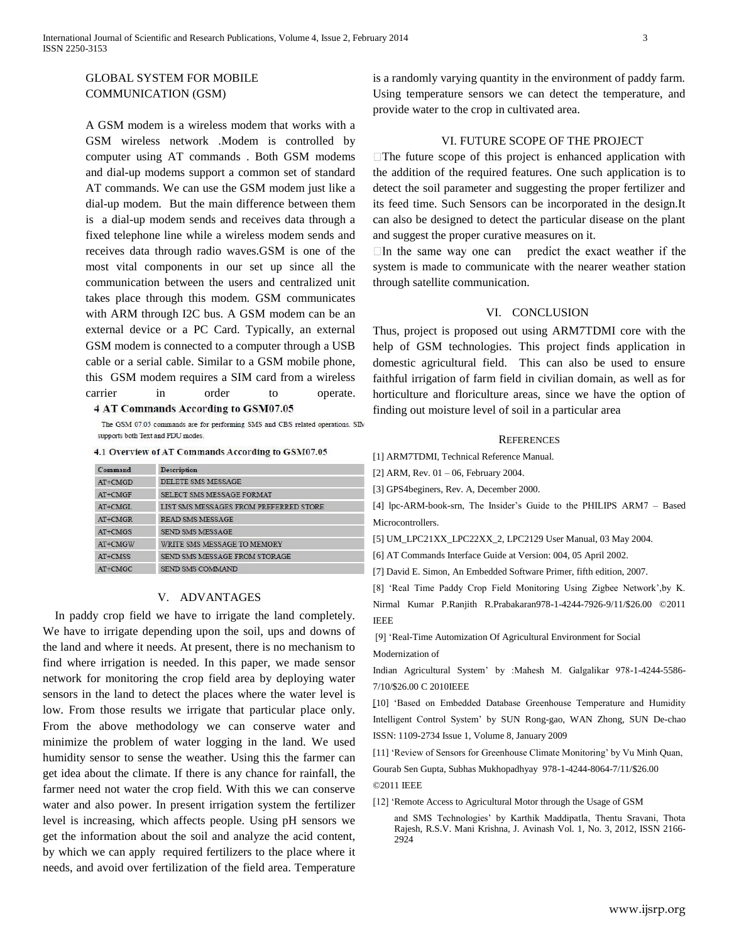# GLOBAL SYSTEM FOR MOBILE COMMUNICATION (GSM)

A GSM modem is a wireless modem that works with a GSM wireless network .Modem is controlled by computer using AT commands . Both GSM modems and dial-up modems support a common set of standard AT commands. We can use the GSM modem just like a dial-up modem. But the main difference between them is a dial-up modem sends and receives data through a fixed telephone line while a wireless modem sends and receives data through radio waves.GSM is one of the most vital components in our set up since all the communication between the users and centralized unit takes place through this modem. GSM communicates with ARM through I2C bus. A GSM modem can be an external device or a PC Card. Typically, an external GSM modem is connected to a computer through a USB cable or a serial cable. Similar to a GSM mobile phone, this GSM modem requires a SIM card from a wireless carrier in order to operate.

#### 4 AT Commands According to GSM07.05

The GSM 07.05 commands are for performing SMS and CBS related operations. SIM supports both Text and PDU modes.

#### 4.1 Overview of AT Commands According to GSM07.05

| Command   | <b>Description</b>                     |
|-----------|----------------------------------------|
| AT+CMGD   | DELETE SMS MESSAGE                     |
| $AT+CMGF$ | SELECT SMS MESSAGE FORMAT              |
| AT+CMGL   | LIST SMS MESSAGES FROM PREFERRED STORE |
| $AT+CMGR$ | <b>READ SMS MESSAGE</b>                |
| $AT+CMGS$ | SEND SMS MESSAGE                       |
| $AT+CMGW$ | WRITE SMS MESSAGE TO MEMORY            |
| AT+CMSS   | SEND SMS MESSAGE FROM STORAGE          |
| AT+CMGC   | <b>SEND SMS COMMAND</b>                |

## V. ADVANTAGES

 In paddy crop field we have to irrigate the land completely. We have to irrigate depending upon the soil, ups and downs of the land and where it needs. At present, there is no mechanism to find where irrigation is needed. In this paper, we made sensor network for monitoring the crop field area by deploying water sensors in the land to detect the places where the water level is low. From those results we irrigate that particular place only. From the above methodology we can conserve water and minimize the problem of water logging in the land. We used humidity sensor to sense the weather. Using this the farmer can get idea about the climate. If there is any chance for rainfall, the farmer need not water the crop field. With this we can conserve water and also power. In present irrigation system the fertilizer level is increasing, which affects people. Using pH sensors we get the information about the soil and analyze the acid content, by which we can apply required fertilizers to the place where it needs, and avoid over fertilization of the field area. Temperature

is a randomly varying quantity in the environment of paddy farm. Using temperature sensors we can detect the temperature, and provide water to the crop in cultivated area.

## VI. FUTURE SCOPE OF THE PROJECT

 $\Box$  The future scope of this project is enhanced application with the addition of the required features. One such application is to detect the soil parameter and suggesting the proper fertilizer and its feed time. Such Sensors can be incorporated in the design.It can also be designed to detect the particular disease on the plant and suggest the proper curative measures on it.

 $\Box$  In the same way one can predict the exact weather if the system is made to communicate with the nearer weather station through satellite communication.

#### VI. CONCLUSION

Thus, project is proposed out using ARM7TDMI core with the help of GSM technologies. This project finds application in domestic agricultural field. This can also be used to ensure faithful irrigation of farm field in civilian domain, as well as for horticulture and floriculture areas, since we have the option of finding out moisture level of soil in a particular area

#### **REFERENCES**

[1] ARM7TDMI, Technical Reference Manual.

[2] ARM, Rev. 01 – 06, February 2004.

[3] GPS4beginers, Rev. A, December 2000.

[4] lpc-ARM-book-srn, The Insider's Guide to the PHILIPS ARM7 – Based Microcontrollers.

[5] UM\_LPC21XX\_LPC22XX\_2, LPC2129 User Manual, 03 May 2004.

[6] AT Commands Interface Guide at Version: 004, 05 April 2002.

[7] David E. Simon, An Embedded Software Primer, fifth edition, 2007.

[8] 'Real Time Paddy Crop Field Monitoring Using Zigbee Network',by K. Nirmal Kumar P.Ranjith R.Prabakaran978-1-4244-7926-9/11/\$26.00 ©2011 IEEE

[9] 'Real-Time Automization Of Agricultural Environment for Social Modernization of

Indian Agricultural System' by :Mahesh M. Galgalikar 978-1-4244-5586- 7/10/\$26.00 C 2010IEEE

[10] 'Based on Embedded Database Greenhouse Temperature and Humidity Intelligent Control System' by SUN Rong-gao, WAN Zhong, SUN De-chao ISSN: 1109-2734 Issue 1, Volume 8, January 2009

[11] 'Review of Sensors for Greenhouse Climate Monitoring' by Vu Minh Quan,

Gourab Sen Gupta, Subhas Mukhopadhyay 978-1-4244-8064-7/11/\$26.00 ©2011 IEEE

[12] 'Remote Access to Agricultural Motor through the Usage of GSM

and SMS Technologies' by Karthik Maddipatla, Thentu Sravani, Thota Rajesh, R.S.V. Mani Krishna, J. Avinash Vol. 1, No. 3, 2012, ISSN 2166- 2924